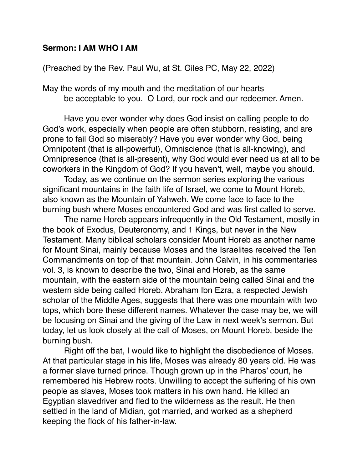## **Sermon: I AM WHO I AM**

## (Preached by the Rev. Paul Wu, at St. Giles PC, May 22, 2022)

May the words of my mouth and the meditation of our hearts be acceptable to you. O Lord, our rock and our redeemer. Amen.

Have you ever wonder why does God insist on calling people to do God's work, especially when people are often stubborn, resisting, and are prone to fail God so miserably? Have you ever wonder why God, being Omnipotent (that is all-powerful), Omniscience (that is all-knowing), and Omnipresence (that is all-present), why God would ever need us at all to be coworkers in the Kingdom of God? If you haven't, well, maybe you should.

Today, as we continue on the sermon series exploring the various significant mountains in the faith life of Israel, we come to Mount Horeb, also known as the Mountain of Yahweh. We come face to face to the burning bush where Moses encountered God and was first called to serve.

The name Horeb appears infrequently in the Old Testament, mostly in the book of Exodus, Deuteronomy, and 1 Kings, but never in the New Testament. Many biblical scholars consider Mount Horeb as another name for Mount Sinai, mainly because Moses and the Israelites received the Ten Commandments on top of that mountain. John Calvin, in his commentaries vol. 3, is known to describe the two, Sinai and Horeb, as the same mountain, with the eastern side of the mountain being called Sinai and the western side being called Horeb. Abraham Ibn Ezra, a respected Jewish scholar of the Middle Ages, suggests that there was one mountain with two tops, which bore these different names. Whatever the case may be, we will be focusing on Sinai and the giving of the Law in next week's sermon. But today, let us look closely at the call of Moses, on Mount Horeb, beside the burning bush.

Right off the bat, I would like to highlight the disobedience of Moses. At that particular stage in his life, Moses was already 80 years old. He was a former slave turned prince. Though grown up in the Pharos' court, he remembered his Hebrew roots. Unwilling to accept the suffering of his own people as slaves, Moses took matters in his own hand. He killed an Egyptian slavedriver and fled to the wilderness as the result. He then settled in the land of Midian, got married, and worked as a shepherd keeping the flock of his father-in-law.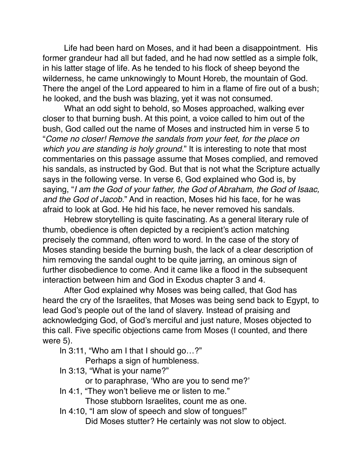Life had been hard on Moses, and it had been a disappointment. His former grandeur had all but faded, and he had now settled as a simple folk, in his latter stage of life. As he tended to his flock of sheep beyond the wilderness, he came unknowingly to Mount Horeb, the mountain of God. There the angel of the Lord appeared to him in a flame of fire out of a bush; he looked, and the bush was blazing, yet it was not consumed.

What an odd sight to behold, so Moses approached, walking ever closer to that burning bush. At this point, a voice called to him out of the bush, God called out the name of Moses and instructed him in verse 5 to "*Come no closer! Remove the sandals from your feet, for the place on which you are standing is holy ground.*" It is interesting to note that most commentaries on this passage assume that Moses complied, and removed his sandals, as instructed by God. But that is not what the Scripture actually says in the following verse. In verse 6, God explained who God is, by saying, "*I am the God of your father, the God of Abraham, the God of Isaac, and the God of Jacob.*" And in reaction, Moses hid his face, for he was afraid to look at God. He hid his face, he never removed his sandals.

Hebrew storytelling is quite fascinating. As a general literary rule of thumb, obedience is often depicted by a recipient's action matching precisely the command, often word to word. In the case of the story of Moses standing beside the burning bush, the lack of a clear description of him removing the sandal ought to be quite jarring, an ominous sign of further disobedience to come. And it came like a flood in the subsequent interaction between him and God in Exodus chapter 3 and 4.

After God explained why Moses was being called, that God has heard the cry of the Israelites, that Moses was being send back to Egypt, to lead God's people out of the land of slavery. Instead of praising and acknowledging God, of God's merciful and just nature, Moses objected to this call. Five specific objections came from Moses (I counted, and there were 5).

In 3:11, "Who am I that I should go…?"

Perhaps a sign of humbleness.

In 3:13, "What is your name?"

or to paraphrase, 'Who are you to send me?'

In 4:1, "They won't believe me or listen to me."

Those stubborn Israelites, count me as one.

In 4:10, "I am slow of speech and slow of tongues!"

Did Moses stutter? He certainly was not slow to object.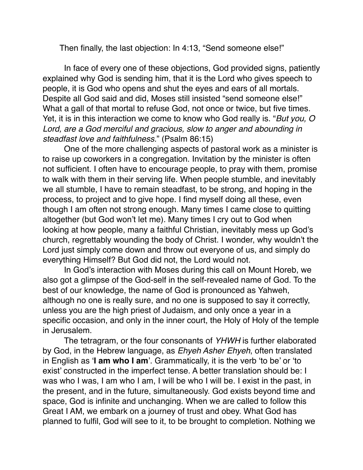Then finally, the last objection: In 4:13, "Send someone else!"

In face of every one of these objections, God provided signs, patiently explained why God is sending him, that it is the Lord who gives speech to people, it is God who opens and shut the eyes and ears of all mortals. Despite all God said and did, Moses still insisted "send someone else!" What a gall of that mortal to refuse God, not once or twice, but five times. Yet, it is in this interaction we come to know who God really is. "*But you, O*  Lord, are a God merciful and gracious, slow to anger and abounding in *steadfast love and faithfulness.*" (Psalm 86:15)

One of the more challenging aspects of pastoral work as a minister is to raise up coworkers in a congregation. Invitation by the minister is often not sufficient. I often have to encourage people, to pray with them, promise to walk with them in their serving life. When people stumble, and inevitably we all stumble, I have to remain steadfast, to be strong, and hoping in the process, to project and to give hope. I find myself doing all these, even though I am often not strong enough. Many times I came close to quitting altogether (but God won't let me). Many times I cry out to God when looking at how people, many a faithful Christian, inevitably mess up God's church, regrettably wounding the body of Christ. I wonder, why wouldn't the Lord just simply come down and throw out everyone of us, and simply do everything Himself? But God did not, the Lord would not.

In God's interaction with Moses during this call on Mount Horeb, we also got a glimpse of the God-self in the self-revealed name of God. To the best of our knowledge, the name of God is pronounced as Yahweh, although no one is really sure, and no one is supposed to say it correctly, unless you are the high priest of Judaism, and only once a year in a specific occasion, and only in the inner court, the Holy of Holy of the temple in Jerusalem.

The tetragram, or the four consonants of *YHWH* is further elaborated by God, in the Hebrew language, as *Ehyeh Asher Ehyeh*, often translated in English as '**I am who I am**'. Grammatically, it is the verb 'to be' or 'to exist' constructed in the imperfect tense. A better translation should be: I was who I was, I am who I am, I will be who I will be. I exist in the past, in the present, and in the future, simultaneously. God exists beyond time and space, God is infinite and unchanging. When we are called to follow this Great I AM, we embark on a journey of trust and obey. What God has planned to fulfil, God will see to it, to be brought to completion. Nothing we